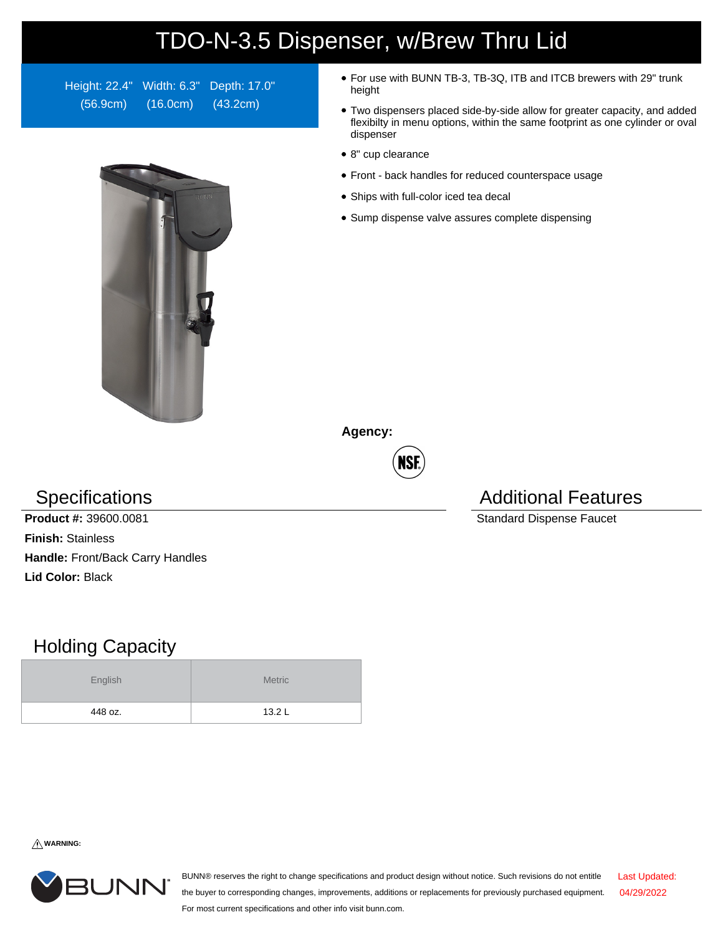## TDO-N-3.5 Dispenser, w/Brew Thru Lid

Height: 22.4" Width: 6.3" Depth: 17.0" (56.9cm) (16.0cm) (43.2cm)



- For use with BUNN TB-3, TB-3Q, ITB and ITCB brewers with 29" trunk height
- Two dispensers placed side-by-side allow for greater capacity, and added flexibilty in menu options, within the same footprint as one cylinder or oval dispenser
- 8" cup clearance
- Front back handles for reduced counterspace usage
- Ships with full-color iced tea decal
- Sump dispense valve assures complete dispensing

**Agency:**



**Product #:** 39600.0081 Standard Dispense Faucet **Finish:** Stainless **Handle:** Front/Back Carry Handles **Lid Color:** Black

## Holding Capacity

| English | <b>Metric</b> |
|---------|---------------|
| 448 oz. | 13.2L         |

Specifications **Additional Features** Additional Features

**WARNING:**



BUNN® reserves the right to change specifications and product design without notice. Such revisions do not entitle the buyer to corresponding changes, improvements, additions or replacements for previously purchased equipment. For most current specifications and other info visit bunn.com. Last Updated: 04/29/2022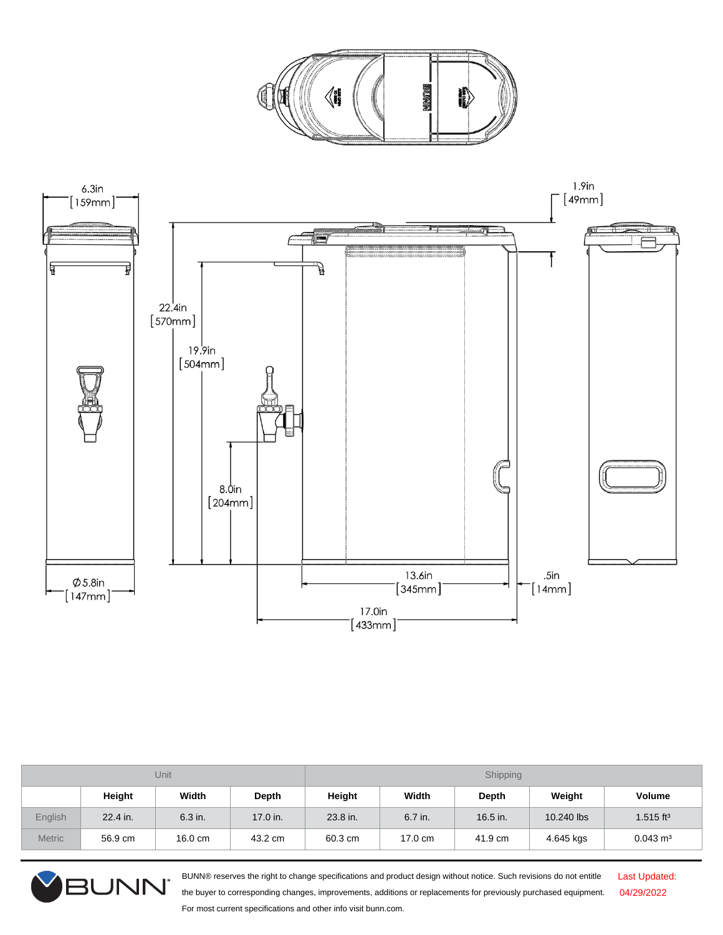



| Unit          |          |                   | Shipping |          |         |          |            |                         |
|---------------|----------|-------------------|----------|----------|---------|----------|------------|-------------------------|
|               | Height   | Width             | Depth    | Height   | Width   | Depth    | Weight     | <b>Volume</b>           |
| English       | 22.4 in. | 6.3 in.           | 17.0 in. | 23.8 in. | 6.7 in. | 16.5 in. | 10.240 lbs | $1.515$ ft <sup>3</sup> |
| <b>Metric</b> | 56.9 cm  | $16.0 \text{ cm}$ | 43.2 cm  | 60.3 cm  | 17.0 cm | 41.9 cm  | 4.645 kgs  | $0.043 \text{ m}^3$     |



BUNN® reserves the right to change specifications and product design without notice. Such revisions do not entitle the buyer to corresponding changes, improvements, additions or replacements for previously purchased equipment. For most current specifications and other info visit bunn.com.

Last Updated: 04/29/2022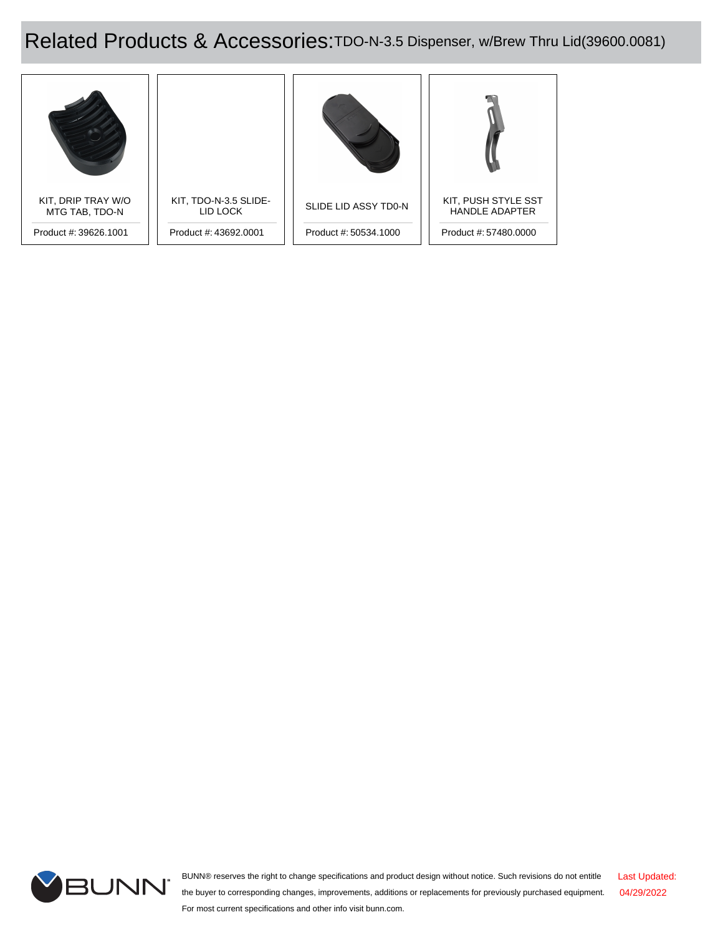Related Products & Accessories:TDO-N-3.5 Dispenser, w/Brew Thru Lid(39600.0081)





BUNN® reserves the right to change specifications and product design without notice. Such revisions do not entitle the buyer to corresponding changes, improvements, additions or replacements for previously purchased equipment. For most current specifications and other info visit bunn.com. Last Updated: 04/29/2022